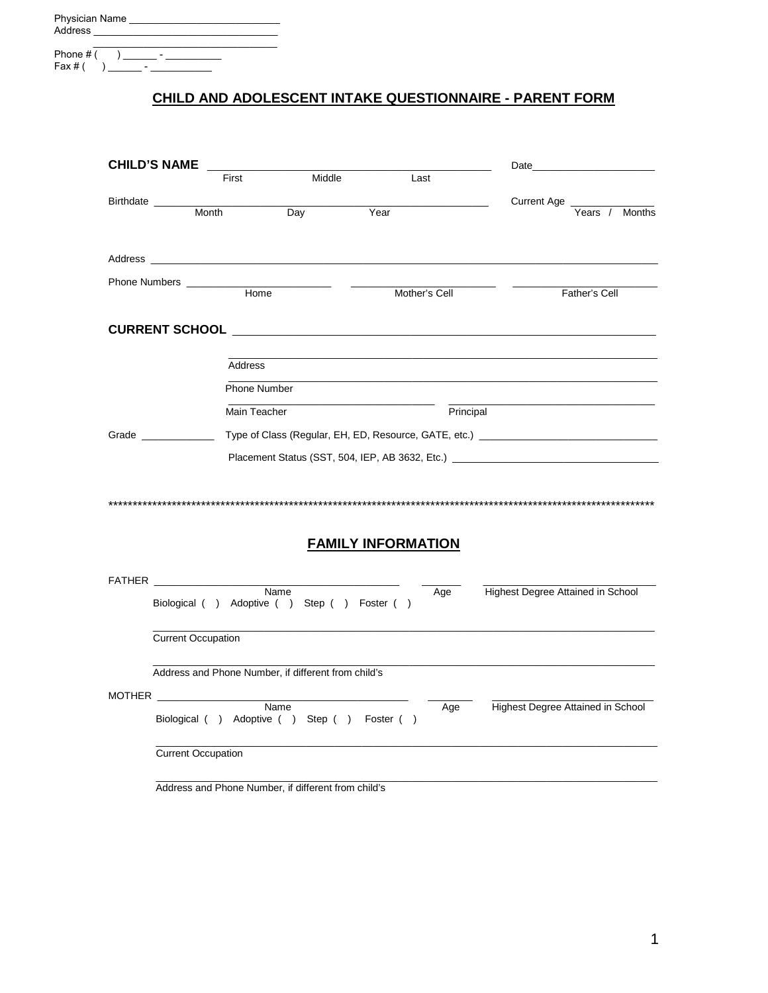| <b>Physician Name</b><br>Address                 |
|--------------------------------------------------|
| Phone # (<br>$\overline{\phantom{a}}$<br>Fax # ( |

## CHILD AND ADOLESCENT INTAKE QUESTIONNAIRE - PARENT FORM

| <b>CHILD'S NAME</b> |                                                           |              |        |                           |           | Date                                                                              |
|---------------------|-----------------------------------------------------------|--------------|--------|---------------------------|-----------|-----------------------------------------------------------------------------------|
|                     | First                                                     |              | Middle | Last                      |           |                                                                                   |
| Birthdate           |                                                           |              |        |                           |           | Current Age _                                                                     |
|                     | Month                                                     | Day          |        | Year                      |           | <b>Months</b><br>Years /                                                          |
|                     |                                                           |              |        |                           |           |                                                                                   |
|                     | Phone Numbers __________                                  |              |        |                           |           |                                                                                   |
|                     |                                                           | Home         |        | Mother's Cell             |           | Father's Cell                                                                     |
|                     |                                                           |              |        |                           |           |                                                                                   |
|                     |                                                           |              |        |                           |           |                                                                                   |
|                     |                                                           | Address      |        |                           |           |                                                                                   |
|                     |                                                           | Phone Number |        |                           |           |                                                                                   |
|                     |                                                           | Main Teacher |        |                           | Principal |                                                                                   |
|                     | Grade                                                     |              |        |                           |           | Type of Class (Regular, EH, ED, Resource, GATE, etc.) ___________________________ |
|                     |                                                           |              |        |                           |           | Placement Status (SST, 504, IEP, AB 3632, Etc.) _________________________________ |
|                     |                                                           |              |        |                           |           |                                                                                   |
|                     |                                                           |              |        |                           |           |                                                                                   |
|                     |                                                           |              |        |                           |           |                                                                                   |
|                     |                                                           |              |        | <b>FAMILY INFORMATION</b> |           |                                                                                   |
|                     |                                                           |              |        |                           |           |                                                                                   |
|                     | FATHER <b>EXECUTE A</b>                                   |              |        |                           |           |                                                                                   |
|                     | Biological () Adoptive () Step () Foster ()               | Name         |        |                           | Age       | Highest Degree Attained in School                                                 |
|                     |                                                           |              |        |                           |           |                                                                                   |
|                     | Current Occupation                                        |              |        |                           |           |                                                                                   |
|                     | Address and Phone Number, if different from child's       |              |        |                           |           |                                                                                   |
|                     |                                                           |              |        |                           |           |                                                                                   |
|                     | MOTHER<br>Biological ( ) Adoptive ( ) Step ( ) Foster ( ) | Name         |        |                           | Age       | Highest Degree Attained in School                                                 |
|                     | <b>Current Occupation</b>                                 |              |        |                           |           |                                                                                   |
|                     |                                                           |              |        |                           |           |                                                                                   |

Address and Phone Number, if different from child's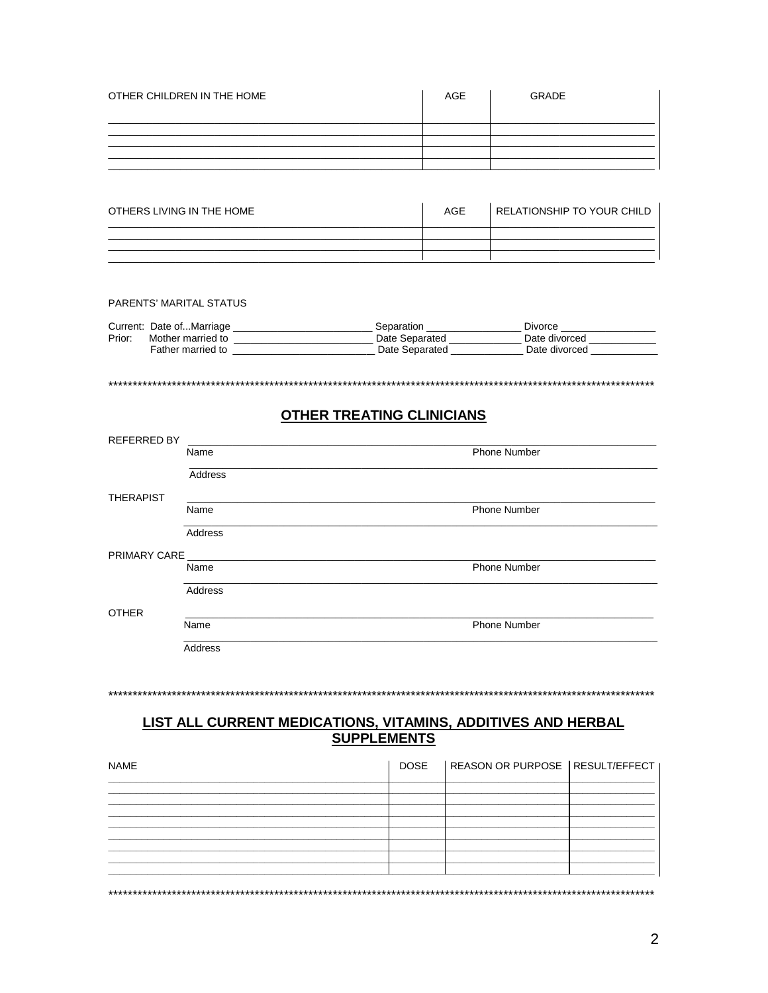| OTHER CHILDREN IN THE HOME | <b>AGE</b> | <b>GRADE</b> |
|----------------------------|------------|--------------|
|                            |            |              |
|                            |            |              |
|                            |            |              |
|                            |            |              |

| OTHERS LIVING IN THE HOME | AGE | I RELATIONSHIP TO YOUR CHILD |
|---------------------------|-----|------------------------------|
|                           |     |                              |
|                           |     |                              |
|                           |     |                              |

#### PARENTS' MARITAL STATUS

|        | Current: Date ofMarriage | Separation     | Divorce       |
|--------|--------------------------|----------------|---------------|
| Prior: | Mother married to        | Date Separated | Date divorced |
|        | Father married to        | Date Separated | Date divorced |
|        |                          |                |               |

## **OTHER TREATING CLINICIANS**

| <b>REFERRED BY</b> |         |                     |
|--------------------|---------|---------------------|
|                    | Name    | <b>Phone Number</b> |
|                    | Address |                     |
| <b>THERAPIST</b>   |         |                     |
|                    | Name    | <b>Phone Number</b> |
|                    | Address |                     |
| PRIMARY CARE       |         |                     |
|                    | Name    | <b>Phone Number</b> |
|                    | Address |                     |
| <b>OTHER</b>       |         |                     |
|                    | Name    | <b>Phone Number</b> |
|                    | Address |                     |
|                    |         |                     |

#### 

# <u>LIST ALL CURRENT MEDICATIONS, VITAMINS, ADDITIVES AND HERBAL SUPPLEMENTS</u>

| <b>NAME</b> | <b>DOSE</b> | REASON OR PURPOSE   RESULT/EFFECT |  |
|-------------|-------------|-----------------------------------|--|
|             |             |                                   |  |
|             |             |                                   |  |
|             |             |                                   |  |
|             |             |                                   |  |
|             |             |                                   |  |
|             |             |                                   |  |
|             |             |                                   |  |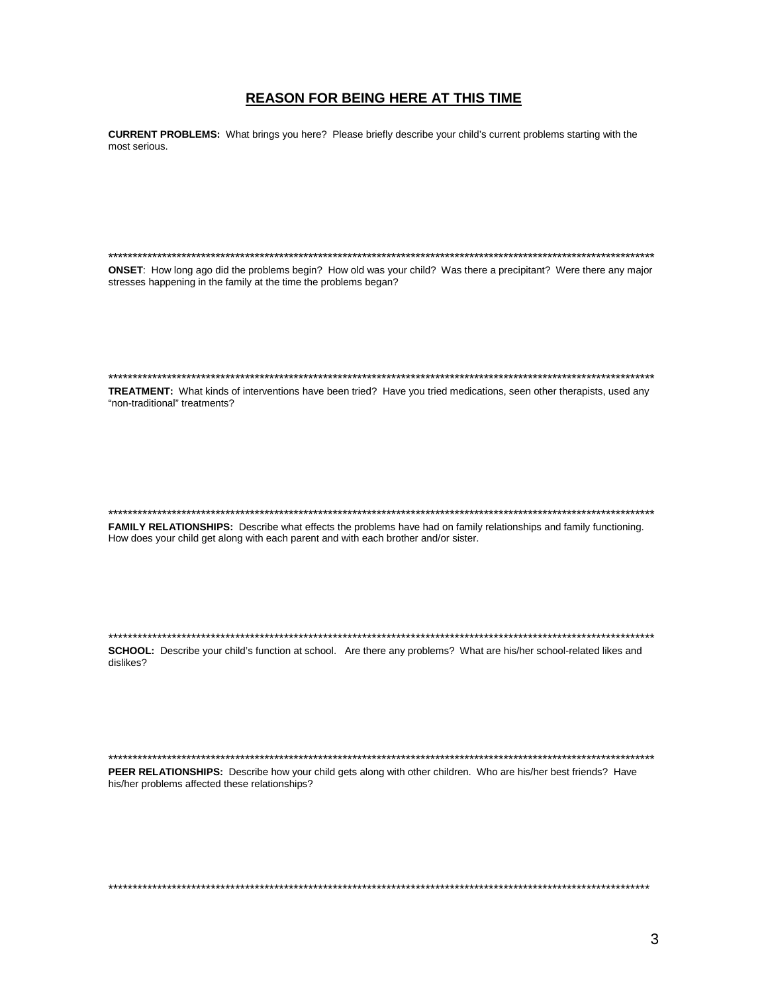## **REASON FOR BEING HERE AT THIS TIME**

CURRENT PROBLEMS: What brings you here? Please briefly describe your child's current problems starting with the most serious.

ONSET: How long ago did the problems begin? How old was your child? Was there a precipitant? Were there any major stresses happening in the family at the time the problems began? TREATMENT: What kinds of interventions have been tried? Have you tried medications, seen other therapists, used any "non-traditional" treatments? FAMILY RELATIONSHIPS: Describe what effects the problems have had on family relationships and family functioning. How does your child get along with each parent and with each brother and/or sister. SCHOOL: Describe your child's function at school. Are there any problems? What are his/her school-related likes and dislikes? 

PEER RELATIONSHIPS: Describe how your child gets along with other children. Who are his/her best friends? Have his/her problems affected these relationships?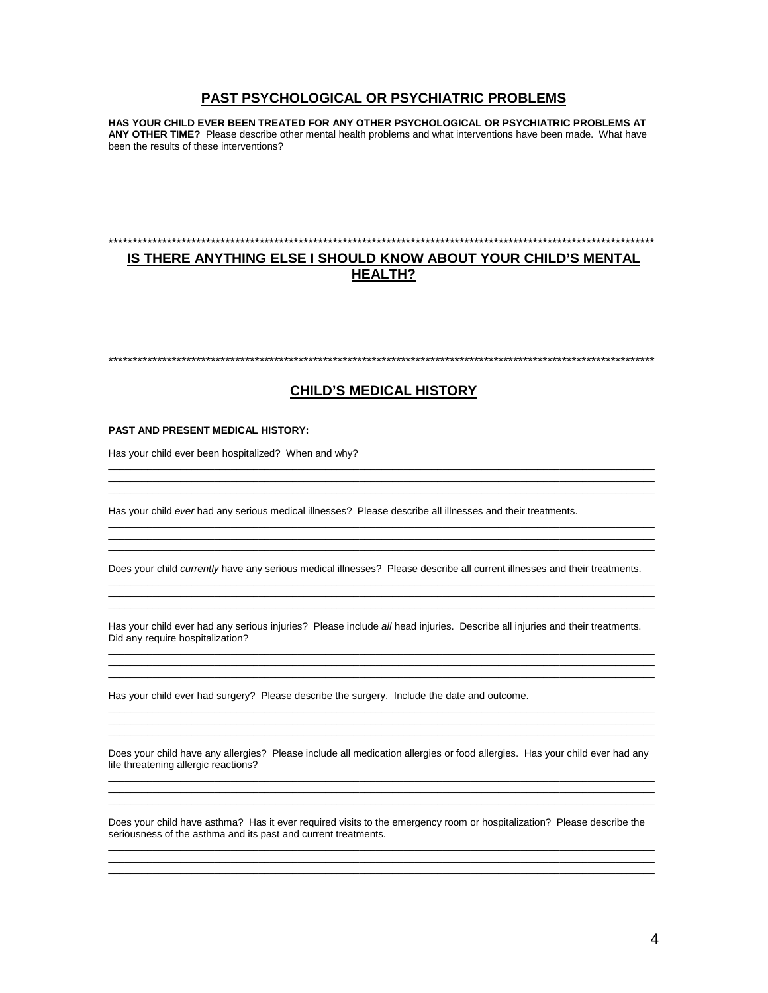## **PAST PSYCHOLOGICAL OR PSYCHIATRIC PROBLEMS**

**HAS YOUR CHILD EVER BEEN TREATED FOR ANY OTHER PSYCHOLOGICAL OR PSYCHIATRIC PROBLEMS AT ANY OTHER TIME?** Please describe other mental health problems and what interventions have been made. What have been the results of these interventions?

## \*\*\*\*\*\*\*\*\*\*\*\*\*\*\*\*\*\*\*\*\*\*\*\*\*\*\*\*\*\*\*\*\*\*\*\*\*\*\*\*\*\*\*\*\*\*\*\*\*\*\*\*\*\*\*\*\*\*\*\*\*\*\*\*\*\*\*\*\*\*\*\*\*\*\*\*\*\*\*\*\*\*\*\*\*\*\*\*\*\*\*\*\*\*\*\*\*\*\*\*\*\*\*\*\*\*\*\*\*\*\*\* **IS THERE ANYTHING ELSE I SHOULD KNOW ABOUT YOUR CHILD'S MENTAL**

**HEALTH?**

\*\*\*\*\*\*\*\*\*\*\*\*\*\*\*\*\*\*\*\*\*\*\*\*\*\*\*\*\*\*\*\*\*\*\*\*\*\*\*\*\*\*\*\*\*\*\*\*\*\*\*\*\*\*\*\*\*\*\*\*\*\*\*\*\*\*\*\*\*\*\*\*\*\*\*\*\*\*\*\*\*\*\*\*\*\*\*\*\*\*\*\*\*\*\*\*\*\*\*\*\*\*\*\*\*\*\*\*\*\*\*\*

#### **CHILD'S MEDICAL HISTORY**

 $\_$  ,  $\_$  ,  $\_$  ,  $\_$  ,  $\_$  ,  $\_$  ,  $\_$  ,  $\_$  ,  $\_$  ,  $\_$  ,  $\_$  ,  $\_$  ,  $\_$  ,  $\_$  ,  $\_$  ,  $\_$  ,  $\_$  ,  $\_$  ,  $\_$  ,  $\_$  ,  $\_$  ,  $\_$  ,  $\_$  ,  $\_$  ,  $\_$  ,  $\_$  ,  $\_$  ,  $\_$  ,  $\_$  ,  $\_$  ,  $\_$  ,  $\_$  ,  $\_$  ,  $\_$  ,  $\_$  ,  $\_$  ,  $\_$  ,  $\_$  ,  $\_$  ,  $\_$  ,  $\_$  ,  $\_$  ,  $\_$  ,  $\_$  ,  $\_$  ,  $\_$  ,  $\_$  ,  $\_$  ,  $\_$  ,  $\_$  ,  $\_$  ,  $\_$  ,  $\_$  ,  $\_$  ,  $\_$  ,  $\_$  ,  $\_$  ,  $\_$  ,  $\_$  ,  $\_$  ,  $\_$  ,  $\_$  ,  $\_$  ,  $\_$  ,  $\_$  ,  $\_$  ,  $\_$  ,  $\_$  ,  $\_$  ,  $\_$  ,  $\_$  ,  $\_$  ,  $\_$  ,  $\_$  ,  $\_$  ,  $\_$  ,  $\_$  ,  $\_$  ,  $\_$  ,  $\_$  ,  $\_$  ,  $\_$  ,  $\_$  ,  $\_$  ,  $\_$  ,  $\_$  ,  $\_$  ,  $\_$  ,  $\_$  ,  $\_$  ,  $\_$  ,  $\_$  ,  $\_$  ,  $\_$  ,  $\_$  ,  $\_$  ,  $\_$  ,  $\_$  ,  $\_$  ,  $\_$  ,  $\_$  ,  $\_$  ,  $\_$  ,  $\_$  ,  $\_$  ,  $\_$  ,  $\_$  ,  $\_$  ,  $\_$  ,  $\_$  ,  $\_$  ,

 $\_$  ,  $\_$  ,  $\_$  ,  $\_$  ,  $\_$  ,  $\_$  ,  $\_$  ,  $\_$  ,  $\_$  ,  $\_$  ,  $\_$  ,  $\_$  ,  $\_$  ,  $\_$  ,  $\_$  ,  $\_$  ,  $\_$  ,  $\_$  ,  $\_$  ,  $\_$  ,  $\_$  ,  $\_$  ,  $\_$  ,  $\_$  ,  $\_$  ,  $\_$  ,  $\_$  ,  $\_$  ,  $\_$  ,  $\_$  ,  $\_$  ,  $\_$  ,  $\_$  ,  $\_$  ,  $\_$  ,  $\_$  ,  $\_$  , \_\_\_\_\_\_\_\_\_\_\_\_\_\_\_\_\_\_\_\_\_\_\_\_\_\_\_\_\_\_\_\_\_\_\_\_\_\_\_\_\_\_\_\_\_\_\_\_\_\_\_\_\_\_\_\_\_\_\_\_\_\_\_\_\_\_\_\_\_\_\_\_\_\_\_\_\_\_\_\_\_\_\_\_\_\_\_\_\_\_\_\_\_\_\_\_\_\_  $\_$  ,  $\_$  ,  $\_$  ,  $\_$  ,  $\_$  ,  $\_$  ,  $\_$  ,  $\_$  ,  $\_$  ,  $\_$  ,  $\_$  ,  $\_$  ,  $\_$  ,  $\_$  ,  $\_$  ,  $\_$  ,  $\_$  ,  $\_$  ,  $\_$  ,  $\_$  ,  $\_$  ,  $\_$  ,  $\_$  ,  $\_$  ,  $\_$  ,  $\_$  ,  $\_$  ,  $\_$  ,  $\_$  ,  $\_$  ,  $\_$  ,  $\_$  ,  $\_$  ,  $\_$  ,  $\_$  ,  $\_$  ,  $\_$  ,

#### **PAST AND PRESENT MEDICAL HISTORY:**

Has your child ever been hospitalized? When and why?

Has your child *ever* had any serious medical illnesses? Please describe all illnesses and their treatments.

Does your child *currently* have any serious medical illnesses? Please describe all current illnesses and their treatments.  $\_$  ,  $\_$  ,  $\_$  ,  $\_$  ,  $\_$  ,  $\_$  ,  $\_$  ,  $\_$  ,  $\_$  ,  $\_$  ,  $\_$  ,  $\_$  ,  $\_$  ,  $\_$  ,  $\_$  ,  $\_$  ,  $\_$  ,  $\_$  ,  $\_$  ,  $\_$  ,  $\_$  ,  $\_$  ,  $\_$  ,  $\_$  ,  $\_$  ,  $\_$  ,  $\_$  ,  $\_$  ,  $\_$  ,  $\_$  ,  $\_$  ,  $\_$  ,  $\_$  ,  $\_$  ,  $\_$  ,  $\_$  ,  $\_$  ,

 $\_$  ,  $\_$  ,  $\_$  ,  $\_$  ,  $\_$  ,  $\_$  ,  $\_$  ,  $\_$  ,  $\_$  ,  $\_$  ,  $\_$  ,  $\_$  ,  $\_$  ,  $\_$  ,  $\_$  ,  $\_$  ,  $\_$  ,  $\_$  ,  $\_$  ,  $\_$  ,  $\_$  ,  $\_$  ,  $\_$  ,  $\_$  ,  $\_$  ,  $\_$  ,  $\_$  ,  $\_$  ,  $\_$  ,  $\_$  ,  $\_$  ,  $\_$  ,  $\_$  ,  $\_$  ,  $\_$  ,  $\_$  ,  $\_$  ,  $\_$  ,  $\_$  ,  $\_$  ,  $\_$  ,  $\_$  ,  $\_$  ,  $\_$  ,  $\_$  ,  $\_$  ,  $\_$  ,  $\_$  ,  $\_$  ,  $\_$  ,  $\_$  ,  $\_$  ,  $\_$  ,  $\_$  ,  $\_$  ,  $\_$  ,  $\_$  ,  $\_$  ,  $\_$  ,  $\_$  ,  $\_$  ,  $\_$  ,  $\_$  ,  $\_$  ,  $\_$  ,  $\_$  ,  $\_$  ,  $\_$  ,  $\_$  ,  $\_$  ,  $\_$  ,  $\_$  ,  $\_$  ,  $\_$  ,

Has your child ever had any serious injuries? Please include *all* head injuries. Describe all injuries and their treatments. Did any require hospitalization?  $\_$  ,  $\_$  ,  $\_$  ,  $\_$  ,  $\_$  ,  $\_$  ,  $\_$  ,  $\_$  ,  $\_$  ,  $\_$  ,  $\_$  ,  $\_$  ,  $\_$  ,  $\_$  ,  $\_$  ,  $\_$  ,  $\_$  ,  $\_$  ,  $\_$  ,  $\_$  ,  $\_$  ,  $\_$  ,  $\_$  ,  $\_$  ,  $\_$  ,  $\_$  ,  $\_$  ,  $\_$  ,  $\_$  ,  $\_$  ,  $\_$  ,  $\_$  ,  $\_$  ,  $\_$  ,  $\_$  ,  $\_$  ,  $\_$  ,

 $\_$  ,  $\_$  ,  $\_$  ,  $\_$  ,  $\_$  ,  $\_$  ,  $\_$  ,  $\_$  ,  $\_$  ,  $\_$  ,  $\_$  ,  $\_$  ,  $\_$  ,  $\_$  ,  $\_$  ,  $\_$  ,  $\_$  ,  $\_$  ,  $\_$  ,  $\_$  ,  $\_$  ,  $\_$  ,  $\_$  ,  $\_$  ,  $\_$  ,  $\_$  ,  $\_$  ,  $\_$  ,  $\_$  ,  $\_$  ,  $\_$  ,  $\_$  ,  $\_$  ,  $\_$  ,  $\_$  ,  $\_$  ,  $\_$  ,  $\_$  ,  $\_$  ,  $\_$  ,  $\_$  ,  $\_$  ,  $\_$  ,  $\_$  ,  $\_$  ,  $\_$  ,  $\_$  ,  $\_$  ,  $\_$  ,  $\_$  ,  $\_$  ,  $\_$  ,  $\_$  ,  $\_$  ,  $\_$  ,  $\_$  ,  $\_$  ,  $\_$  ,  $\_$  ,  $\_$  ,  $\_$  ,  $\_$  ,  $\_$  ,  $\_$  ,  $\_$  ,  $\_$  ,  $\_$  ,  $\_$  ,  $\_$  ,  $\_$  ,  $\_$  ,  $\_$  ,  $\_$  ,  $\_$  ,

\_\_\_\_\_\_\_\_\_\_\_\_\_\_\_\_\_\_\_\_\_\_\_\_\_\_\_\_\_\_\_\_\_\_\_\_\_\_\_\_\_\_\_\_\_\_\_\_\_\_\_\_\_\_\_\_\_\_\_\_\_\_\_\_\_\_\_\_\_\_\_\_\_\_\_\_\_\_\_\_\_\_\_\_\_\_\_\_\_\_\_\_\_\_\_\_\_\_  $\_$  ,  $\_$  ,  $\_$  ,  $\_$  ,  $\_$  ,  $\_$  ,  $\_$  ,  $\_$  ,  $\_$  ,  $\_$  ,  $\_$  ,  $\_$  ,  $\_$  ,  $\_$  ,  $\_$  ,  $\_$  ,  $\_$  ,  $\_$  ,  $\_$  ,  $\_$  ,  $\_$  ,  $\_$  ,  $\_$  ,  $\_$  ,  $\_$  ,  $\_$  ,  $\_$  ,  $\_$  ,  $\_$  ,  $\_$  ,  $\_$  ,  $\_$  ,  $\_$  ,  $\_$  ,  $\_$  ,  $\_$  ,  $\_$  ,  $\_$  ,  $\_$  ,  $\_$  ,  $\_$  ,  $\_$  ,  $\_$  ,  $\_$  ,  $\_$  ,  $\_$  ,  $\_$  ,  $\_$  ,  $\_$  ,  $\_$  ,  $\_$  ,  $\_$  ,  $\_$  ,  $\_$  ,  $\_$  ,  $\_$  ,  $\_$  ,  $\_$  ,  $\_$  ,  $\_$  ,  $\_$  ,  $\_$  ,  $\_$  ,  $\_$  ,  $\_$  ,  $\_$  ,  $\_$  ,  $\_$  ,  $\_$  ,  $\_$  ,  $\_$  ,  $\_$  ,  $\_$  ,  $\_$  ,

Has your child ever had surgery? Please describe the surgery. Include the date and outcome.

Does your child have any allergies? Please include all medication allergies or food allergies. Has your child ever had any life threatening allergic reactions? \_\_\_\_\_\_\_\_\_\_\_\_\_\_\_\_\_\_\_\_\_\_\_\_\_\_\_\_\_\_\_\_\_\_\_\_\_\_\_\_\_\_\_\_\_\_\_\_\_\_\_\_\_\_\_\_\_\_\_\_\_\_\_\_\_\_\_\_\_\_\_\_\_\_\_\_\_\_\_\_\_\_\_\_\_\_\_\_\_\_\_\_\_\_\_\_\_\_

 $\_$  ,  $\_$  ,  $\_$  ,  $\_$  ,  $\_$  ,  $\_$  ,  $\_$  ,  $\_$  ,  $\_$  ,  $\_$  ,  $\_$  ,  $\_$  ,  $\_$  ,  $\_$  ,  $\_$  ,  $\_$  ,  $\_$  ,  $\_$  ,  $\_$  ,  $\_$  ,  $\_$  ,  $\_$  ,  $\_$  ,  $\_$  ,  $\_$  ,  $\_$  ,  $\_$  ,  $\_$  ,  $\_$  ,  $\_$  ,  $\_$  ,  $\_$  ,  $\_$  ,  $\_$  ,  $\_$  ,  $\_$  ,  $\_$  , \_\_\_\_\_\_\_\_\_\_\_\_\_\_\_\_\_\_\_\_\_\_\_\_\_\_\_\_\_\_\_\_\_\_\_\_\_\_\_\_\_\_\_\_\_\_\_\_\_\_\_\_\_\_\_\_\_\_\_\_\_\_\_\_\_\_\_\_\_\_\_\_\_\_\_\_\_\_\_\_\_\_\_\_\_\_\_\_\_\_\_\_\_\_\_\_\_\_

Does your child have asthma? Has it ever required visits to the emergency room or hospitalization? Please describe the seriousness of the asthma and its past and current treatments.  $\_$  ,  $\_$  ,  $\_$  ,  $\_$  ,  $\_$  ,  $\_$  ,  $\_$  ,  $\_$  ,  $\_$  ,  $\_$  ,  $\_$  ,  $\_$  ,  $\_$  ,  $\_$  ,  $\_$  ,  $\_$  ,  $\_$  ,  $\_$  ,  $\_$  ,  $\_$  ,  $\_$  ,  $\_$  ,  $\_$  ,  $\_$  ,  $\_$  ,  $\_$  ,  $\_$  ,  $\_$  ,  $\_$  ,  $\_$  ,  $\_$  ,  $\_$  ,  $\_$  ,  $\_$  ,  $\_$  ,  $\_$  ,  $\_$  ,

 $\_$  ,  $\_$  ,  $\_$  ,  $\_$  ,  $\_$  ,  $\_$  ,  $\_$  ,  $\_$  ,  $\_$  ,  $\_$  ,  $\_$  ,  $\_$  ,  $\_$  ,  $\_$  ,  $\_$  ,  $\_$  ,  $\_$  ,  $\_$  ,  $\_$  ,  $\_$  ,  $\_$  ,  $\_$  ,  $\_$  ,  $\_$  ,  $\_$  ,  $\_$  ,  $\_$  ,  $\_$  ,  $\_$  ,  $\_$  ,  $\_$  ,  $\_$  ,  $\_$  ,  $\_$  ,  $\_$  ,  $\_$  ,  $\_$  ,  $\_$  ,  $\_$  ,  $\_$  ,  $\_$  ,  $\_$  ,  $\_$  ,  $\_$  ,  $\_$  ,  $\_$  ,  $\_$  ,  $\_$  ,  $\_$  ,  $\_$  ,  $\_$  ,  $\_$  ,  $\_$  ,  $\_$  ,  $\_$  ,  $\_$  ,  $\_$  ,  $\_$  ,  $\_$  ,  $\_$  ,  $\_$  ,  $\_$  ,  $\_$  ,  $\_$  ,  $\_$  ,  $\_$  ,  $\_$  ,  $\_$  ,  $\_$  ,  $\_$  ,  $\_$  ,  $\_$  ,  $\_$  ,  $\_$  ,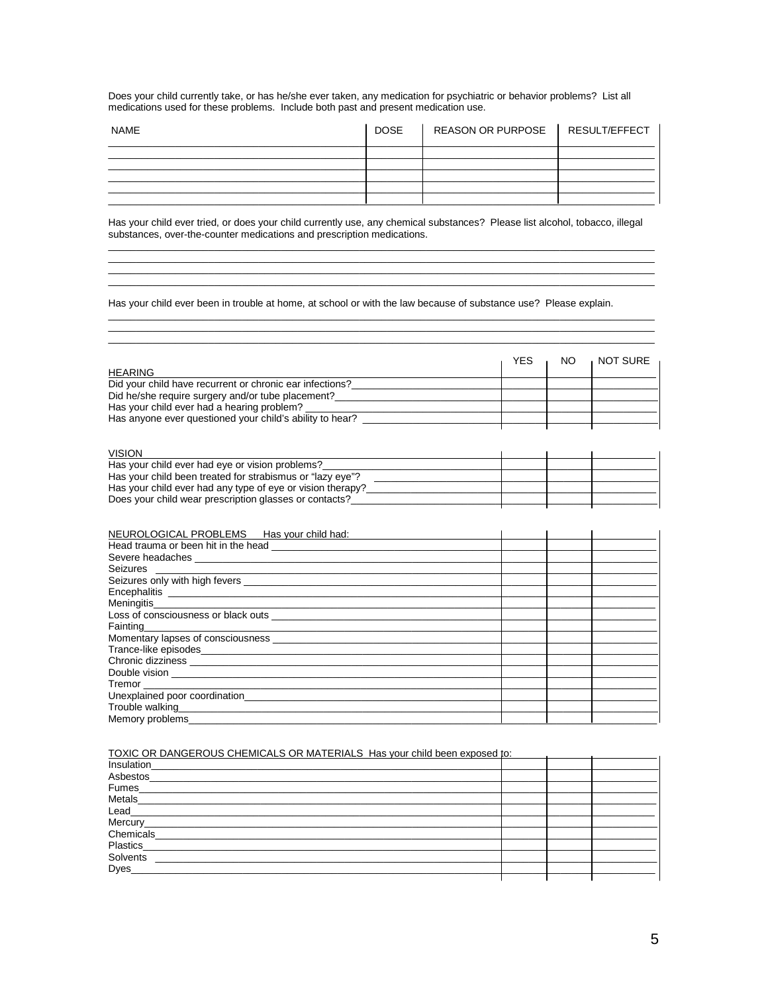Does your child currently take, or has he/she ever taken, any medication for psychiatric or behavior problems? List all medications used for these problems. Include both past and present medication use.

| <b>NAME</b> | DOSE | REASON OR PURPOSE   RESULT/EFFECT |  |
|-------------|------|-----------------------------------|--|
|             |      |                                   |  |
|             |      |                                   |  |
|             |      |                                   |  |
|             |      |                                   |  |
|             |      |                                   |  |

Has your child ever tried, or does your child currently use, any chemical substances? Please list alcohol, tobacco, illegal substances, over-the-counter medications and prescription medications.

Has your child ever been in trouble at home, at school or with the law because of substance use? Please explain.

| <b>HEARING</b>                                           | YES | NO. | NOT SURE |
|----------------------------------------------------------|-----|-----|----------|
| Did your child have recurrent or chronic ear infections? |     |     |          |
| Did he/she require surgery and/or tube placement?        |     |     |          |
| Has your child ever had a hearing problem?               |     |     |          |
| Has anyone ever questioned your child's ability to hear? |     |     |          |
|                                                          |     |     |          |

#### VISION

| <b>VISION</b>                                              |  |  |
|------------------------------------------------------------|--|--|
| Has your child ever had eye or vision problems?            |  |  |
| Has your child been treated for strabismus or "lazy eye"?  |  |  |
| Has your child ever had any type of eye or vision therapy? |  |  |
| Does your child wear prescription glasses or contacts?     |  |  |

| NEUROLOGICAL PROBLEMS __ Has your child had: |  |  |
|----------------------------------------------|--|--|
|                                              |  |  |
|                                              |  |  |
|                                              |  |  |
|                                              |  |  |
|                                              |  |  |
|                                              |  |  |
|                                              |  |  |
| Fainting <b>Example 2018</b>                 |  |  |
|                                              |  |  |
|                                              |  |  |
|                                              |  |  |
|                                              |  |  |
|                                              |  |  |
| Unexplained poor coordination                |  |  |
|                                              |  |  |
| Memory problems__________                    |  |  |

#### TOXIC OR DANGEROUS CHEMICALS OR MATERIALS Has your child been exposed to: 1

| Insulation_              |  |  |
|--------------------------|--|--|
| Asbestos_                |  |  |
| Fumes                    |  |  |
|                          |  |  |
| Metals_<br>Lead_         |  |  |
|                          |  |  |
| Mercury___<br>Chemicals_ |  |  |
| Plastics_                |  |  |
|                          |  |  |
| Solvents<br>Dyes         |  |  |
|                          |  |  |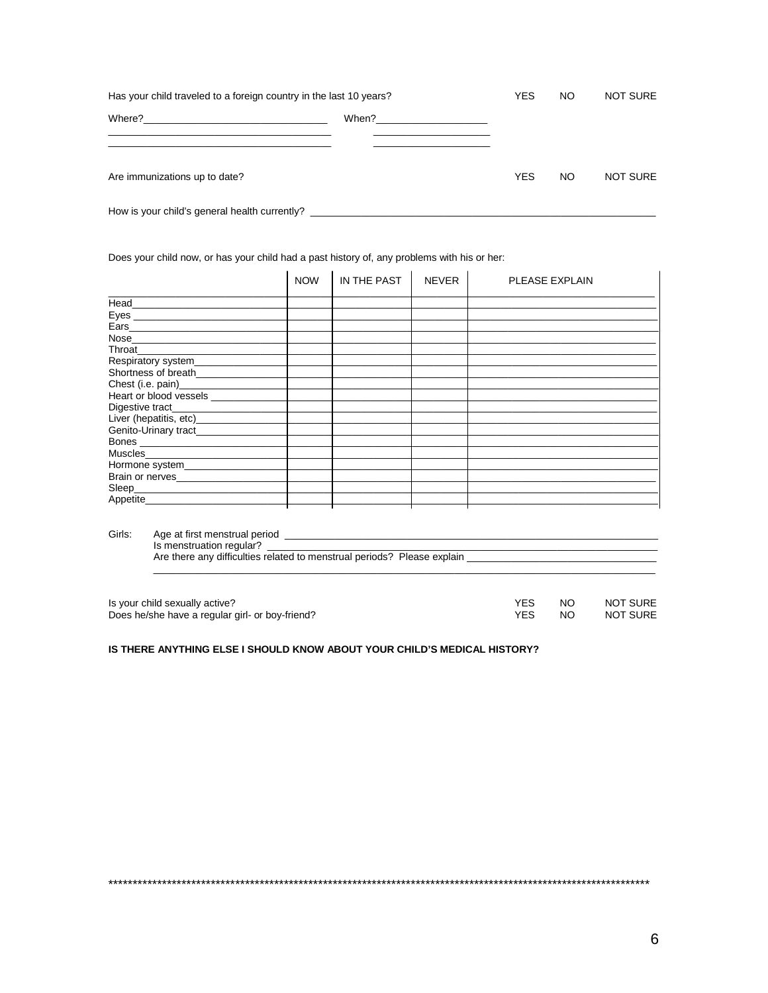| Has your child traveled to a foreign country in the last 10 years?                                                              | YES                                                                                                                   | NO.        | <b>NOT SURE</b> |                 |
|---------------------------------------------------------------------------------------------------------------------------------|-----------------------------------------------------------------------------------------------------------------------|------------|-----------------|-----------------|
| Where?<br><u> 1980 - Jan James James Jan James James Jan James James Jan James James Jan James James Jan James James Jan Ja</u> | When? $\sqrt{2\pi}$ $\sqrt{2\pi}$ $\sqrt{2\pi}$ $\sqrt{2\pi}$ $\sqrt{2\pi}$ $\sqrt{2\pi}$ $\sqrt{2\pi}$ $\sqrt{2\pi}$ |            |                 |                 |
| Are immunizations up to date?                                                                                                   |                                                                                                                       | <b>YES</b> | NO.             | <b>NOT SURE</b> |
| How is your child's general health currently?                                                                                   |                                                                                                                       |            |                 |                 |

Does your child now, or has your child had a past history of, any problems with his or her:

|                                                                                                                                                                                                                                                                                                                                                                                                                                                                                                                      | <b>NOW</b> | IN THE PAST | NEVER | PLEASE EXPLAIN |
|----------------------------------------------------------------------------------------------------------------------------------------------------------------------------------------------------------------------------------------------------------------------------------------------------------------------------------------------------------------------------------------------------------------------------------------------------------------------------------------------------------------------|------------|-------------|-------|----------------|
| $\qquad \qquad \text{Head} \qquad \qquad \text{---} \qquad \qquad \text{---} \qquad \qquad \text{---} \qquad \qquad \text{---} \qquad \qquad \text{---} \qquad \qquad \text{---} \qquad \qquad \text{---} \qquad \qquad \text{---} \qquad \qquad \text{---} \qquad \qquad \text{---} \qquad \text{---} \qquad \text{---} \qquad \text{---} \qquad \text{---} \qquad \text{---} \qquad \text{---} \qquad \text{---} \qquad \text{---} \qquad \text{---} \qquad \text{---} \qquad \text{---} \qquad \text{---} \qquad$ |            |             |       |                |
|                                                                                                                                                                                                                                                                                                                                                                                                                                                                                                                      |            |             |       |                |
|                                                                                                                                                                                                                                                                                                                                                                                                                                                                                                                      |            |             |       |                |
|                                                                                                                                                                                                                                                                                                                                                                                                                                                                                                                      |            |             |       |                |
| <b>Throat Exercise 2008</b>                                                                                                                                                                                                                                                                                                                                                                                                                                                                                          |            |             |       |                |
| Respiratory system_____________                                                                                                                                                                                                                                                                                                                                                                                                                                                                                      |            |             |       |                |
| Shortness of breath_______________                                                                                                                                                                                                                                                                                                                                                                                                                                                                                   |            |             |       |                |
| Chest (i.e. pain)<br>Heart or blood vessels _____________                                                                                                                                                                                                                                                                                                                                                                                                                                                            |            |             |       |                |
|                                                                                                                                                                                                                                                                                                                                                                                                                                                                                                                      |            |             |       |                |
|                                                                                                                                                                                                                                                                                                                                                                                                                                                                                                                      |            |             |       |                |
| Liver (hepatitis, etc)_______________                                                                                                                                                                                                                                                                                                                                                                                                                                                                                |            |             |       |                |
| Genito-Urinary tract___________                                                                                                                                                                                                                                                                                                                                                                                                                                                                                      |            |             |       |                |
|                                                                                                                                                                                                                                                                                                                                                                                                                                                                                                                      |            |             |       |                |
|                                                                                                                                                                                                                                                                                                                                                                                                                                                                                                                      |            |             |       |                |
| Hormone system_______________                                                                                                                                                                                                                                                                                                                                                                                                                                                                                        |            |             |       |                |
|                                                                                                                                                                                                                                                                                                                                                                                                                                                                                                                      |            |             |       |                |
|                                                                                                                                                                                                                                                                                                                                                                                                                                                                                                                      |            |             |       |                |
|                                                                                                                                                                                                                                                                                                                                                                                                                                                                                                                      |            |             |       |                |
|                                                                                                                                                                                                                                                                                                                                                                                                                                                                                                                      |            |             |       |                |

| Girls: | Age at first menstrual period<br>Is menstruation regular?               |
|--------|-------------------------------------------------------------------------|
|        | Are there any difficulties related to menstrual periods? Please explain |
|        |                                                                         |

| Is your child sexually active?                  |     | NO. | NOT SURE |
|-------------------------------------------------|-----|-----|----------|
| Does he/she have a regular girl- or boy-friend? | YES | NO. | NOT SURE |

#### IS THERE ANYTHING ELSE I SHOULD KNOW ABOUT YOUR CHILD'S MEDICAL HISTORY?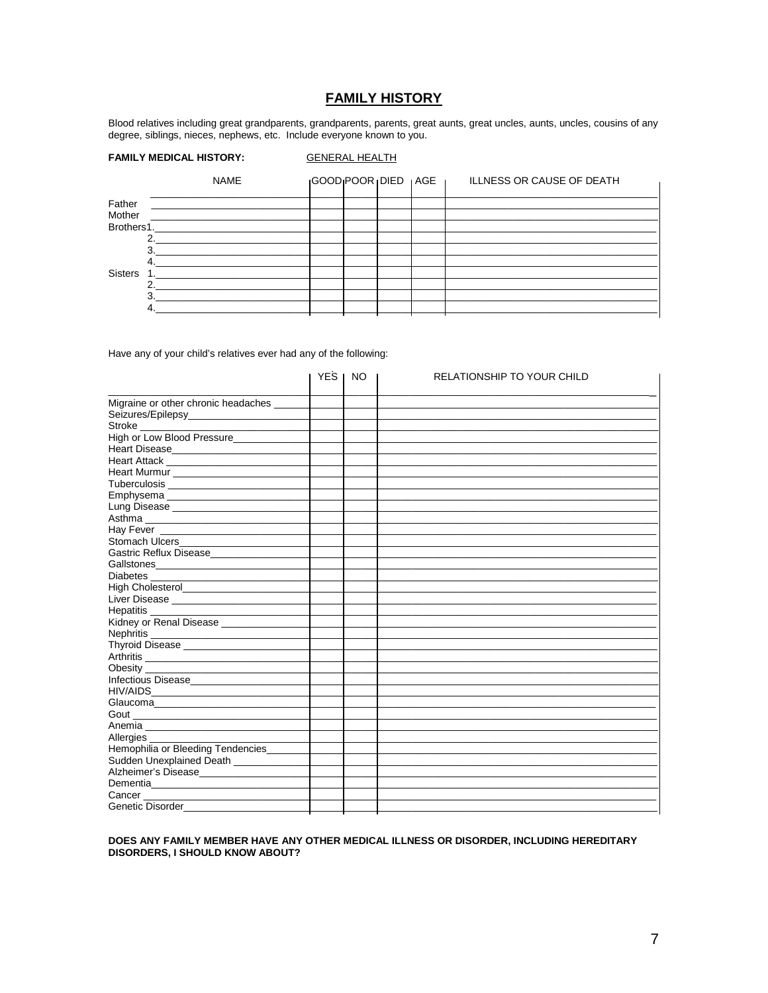## **FAMILY HISTORY**

Blood relatives including great grandparents, grandparents, parents, great aunts, great uncles, aunts, uncles, cousins of any degree, siblings, nieces, nephews, etc. Include everyone known to you.

#### **FAMILY MEDICAL HISTORY:**

#### **GENERAL HEALTH**

|                | <b>NAME</b>                                  | IGOODIPOOR IDIED TAGE |  | <b>ILLNESS OR CAUSE OF DEATH</b> |
|----------------|----------------------------------------------|-----------------------|--|----------------------------------|
| Father         |                                              |                       |  |                                  |
| Mother         | <u> 1980 - Jan Samuel Barbara, martin a</u>  |                       |  |                                  |
|                | Brothers1.                                   |                       |  |                                  |
|                | 2 <sup>1</sup>                               |                       |  |                                  |
|                | з                                            |                       |  |                                  |
|                | 4.                                           |                       |  |                                  |
| <b>Sisters</b> | the control of the control of the control of |                       |  |                                  |
|                | ົ                                            |                       |  |                                  |
|                | $\mathbf{R}$                                 |                       |  |                                  |
|                |                                              |                       |  |                                  |

Have any of your child's relatives ever had any of the following:

|                                           | <b>YES</b> | NO. | <b>RELATIONSHIP TO YOUR CHILD</b> |
|-------------------------------------------|------------|-----|-----------------------------------|
|                                           |            |     |                                   |
| Migraine or other chronic headaches _____ |            |     |                                   |
| Seizures/Epilepsy_______________________  |            |     |                                   |
|                                           |            |     |                                   |
| High or Low Blood Pressure                |            |     |                                   |
|                                           |            |     |                                   |
|                                           |            |     |                                   |
|                                           |            |     |                                   |
| Tuberculosis                              |            |     |                                   |
| Emphysema                                 |            |     |                                   |
| Lung Disease ________________________     |            |     |                                   |
|                                           |            |     |                                   |
|                                           |            |     |                                   |
|                                           |            |     |                                   |
| Gastric Reflux Disease_____________       |            |     |                                   |
|                                           |            |     |                                   |
| Diabetes<br>High Cholesterol              |            |     |                                   |
|                                           |            |     |                                   |
|                                           |            |     |                                   |
|                                           |            |     |                                   |
| Kidney or Renal Disease _____________     |            |     |                                   |
|                                           |            |     |                                   |
|                                           |            |     |                                   |
| Arthritis                                 |            |     |                                   |
|                                           |            |     |                                   |
| Infectious Disease_____________           |            |     |                                   |
|                                           |            |     |                                   |
| Glaucoma_________________________         |            |     |                                   |
|                                           |            |     |                                   |
|                                           |            |     |                                   |
| Allergies                                 |            |     |                                   |
| Hemophilia or Bleeding Tendencies         |            |     |                                   |
| Sudden Unexplained Death ____________     |            |     |                                   |
| Alzheimer's Disease                       |            |     |                                   |
|                                           |            |     |                                   |
| Cancer                                    |            |     |                                   |
| Genetic Disorder_                         |            |     |                                   |

## DOES ANY FAMILY MEMBER HAVE ANY OTHER MEDICAL ILLNESS OR DISORDER, INCLUDING HEREDITARY DISORDERS, I SHOULD KNOW ABOUT?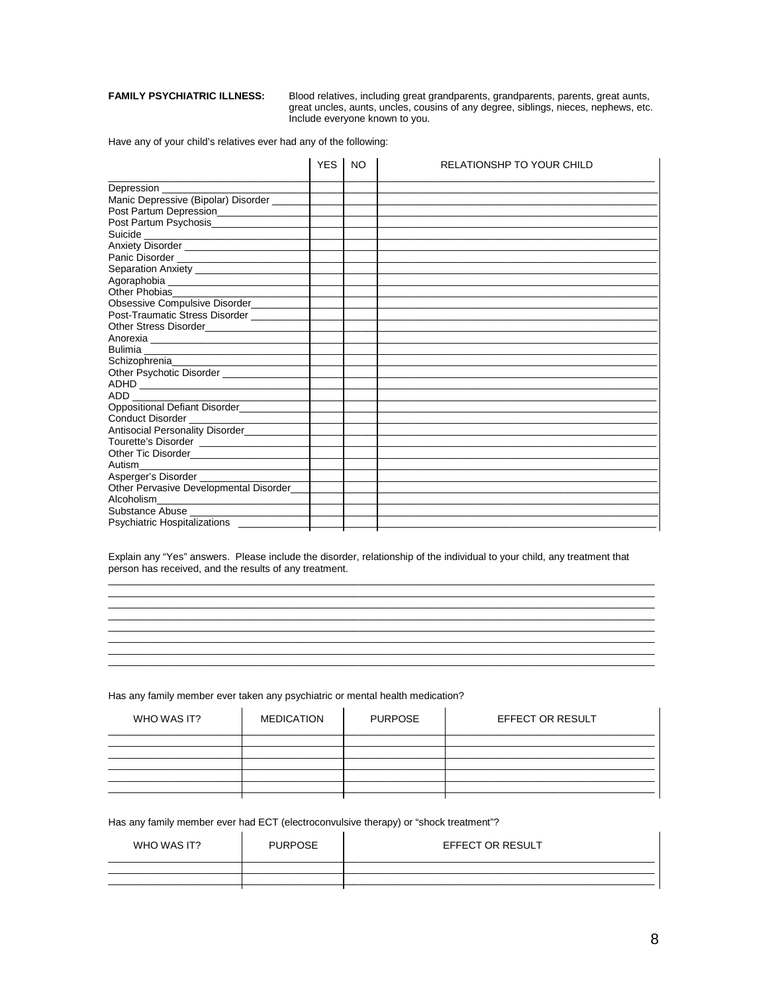#### **FAMILY PSYCHIATRIC ILLNESS:**

Blood relatives, including great grandparents, grandparents, parents, great aunts, great uncles, aunts, uncles, cousins of any degree, siblings, nieces, nephews, etc. Include everyone known to you.

Have any of your child's relatives ever had any of the following:

|                                             | <b>YES</b> | <b>NO</b> | <b>RELATIONSHP TO YOUR CHILD</b> |
|---------------------------------------------|------------|-----------|----------------------------------|
| Depression _______________                  |            |           |                                  |
| Manic Depressive (Bipolar) Disorder         |            |           |                                  |
|                                             |            |           |                                  |
|                                             |            |           |                                  |
| Suicide                                     |            |           |                                  |
| Anxiety Disorder                            |            |           |                                  |
|                                             |            |           |                                  |
|                                             |            |           |                                  |
|                                             |            |           |                                  |
|                                             |            |           |                                  |
| Obsessive Compulsive Disorder__________     |            |           |                                  |
| Post-Traumatic Stress Disorder _________    |            |           |                                  |
|                                             |            |           |                                  |
|                                             |            |           |                                  |
|                                             |            |           |                                  |
|                                             |            |           |                                  |
| Other Psychotic Disorder _______________    |            |           |                                  |
|                                             |            |           |                                  |
| ADD <b>ADD</b>                              |            |           |                                  |
| Oppositional Defiant Disorder__________     |            |           |                                  |
| Conduct Disorder <b>Conduct</b> Disorder    |            |           |                                  |
| Antisocial Personality Disorder____________ |            |           |                                  |
|                                             |            |           |                                  |
|                                             |            |           |                                  |
|                                             |            |           |                                  |
|                                             |            |           |                                  |
| Other Pervasive Developmental Disorder      |            |           |                                  |
| Alcoholism________________________          |            |           |                                  |
|                                             |            |           |                                  |
| Psychiatric Hospitalizations ________       |            |           |                                  |

Explain any "Yes" answers. Please include the disorder, relationship of the individual to your child, any treatment that person has received, and the results of any treatment.

Has any family member ever taken any psychiatric or mental health medication?

| WHO WAS IT? | <b>MEDICATION</b><br><b>PURPOSE</b> |  | <b>EFFECT OR RESULT</b> |
|-------------|-------------------------------------|--|-------------------------|
|             |                                     |  |                         |
|             |                                     |  |                         |
|             |                                     |  |                         |
|             |                                     |  |                         |
|             |                                     |  |                         |
|             |                                     |  |                         |

Has any family member ever had ECT (electroconvulsive therapy) or "shock treatment"?

| WHO WAS IT? | <b>PURPOSE</b> | <b>EFFECT OR RESULT</b> |
|-------------|----------------|-------------------------|
|             |                |                         |
|             |                |                         |
|             |                |                         |

 $\overline{1}$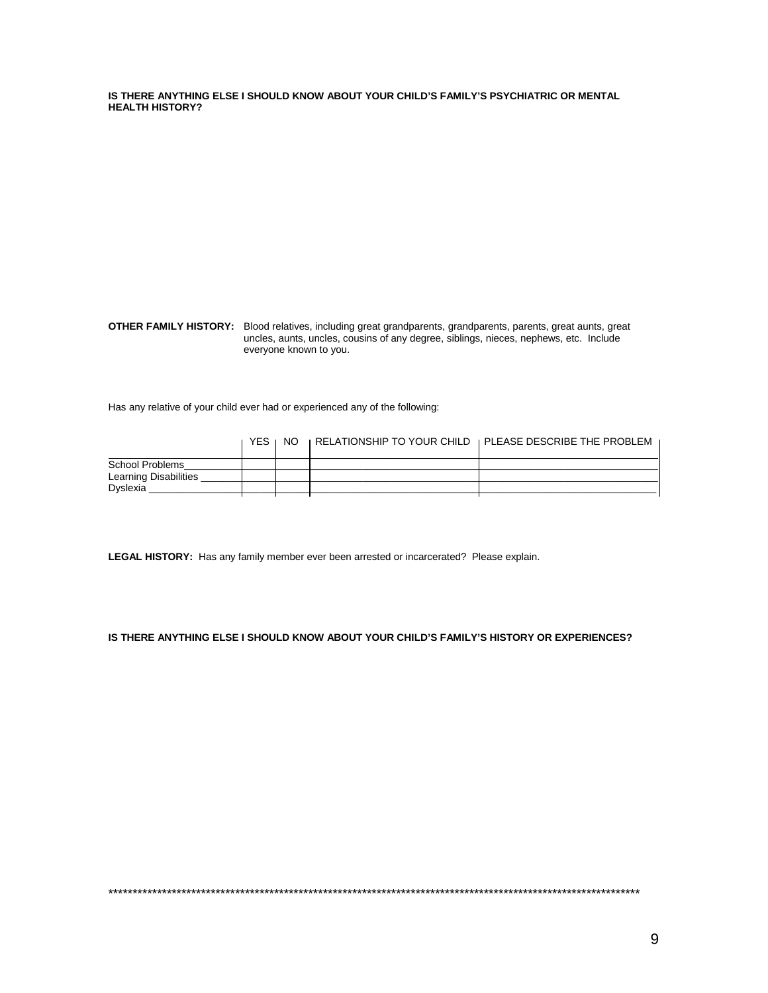**IS THERE ANYTHING ELSE I SHOULD KNOW ABOUT YOUR CHILD'S FAMILY'S PSYCHIATRIC OR MENTAL HEALTH HISTORY?**

**OTHER FAMILY HISTORY:** Blood relatives, including great grandparents, grandparents, parents, great aunts, great uncles, aunts, uncles, cousins of any degree, siblings, nieces, nephews, etc. Include everyone known to you.

Has any relative of your child ever had or experienced any of the following:

|                       | YES. | NO. | <b>I RELATIONSHIP TO YOUR CHILD I PLEASE DESCRIBE THE PROBLEM</b> |
|-----------------------|------|-----|-------------------------------------------------------------------|
| School Problems       |      |     |                                                                   |
| Learning Disabilities |      |     |                                                                   |
| Dyslexia              |      |     |                                                                   |
|                       |      |     |                                                                   |

**LEGAL HISTORY:** Has any family member ever been arrested or incarcerated? Please explain.

**IS THERE ANYTHING ELSE I SHOULD KNOW ABOUT YOUR CHILD'S FAMILY'S HISTORY OR EXPERIENCES?**

\*\*\*\*\*\*\*\*\*\*\*\*\*\*\*\*\*\*\*\*\*\*\*\*\*\*\*\*\*\*\*\*\*\*\*\*\*\*\*\*\*\*\*\*\*\*\*\*\*\*\*\*\*\*\*\*\*\*\*\*\*\*\*\*\*\*\*\*\*\*\*\*\*\*\*\*\*\*\*\*\*\*\*\*\*\*\*\*\*\*\*\*\*\*\*\*\*\*\*\*\*\*\*\*\*\*\*\*\*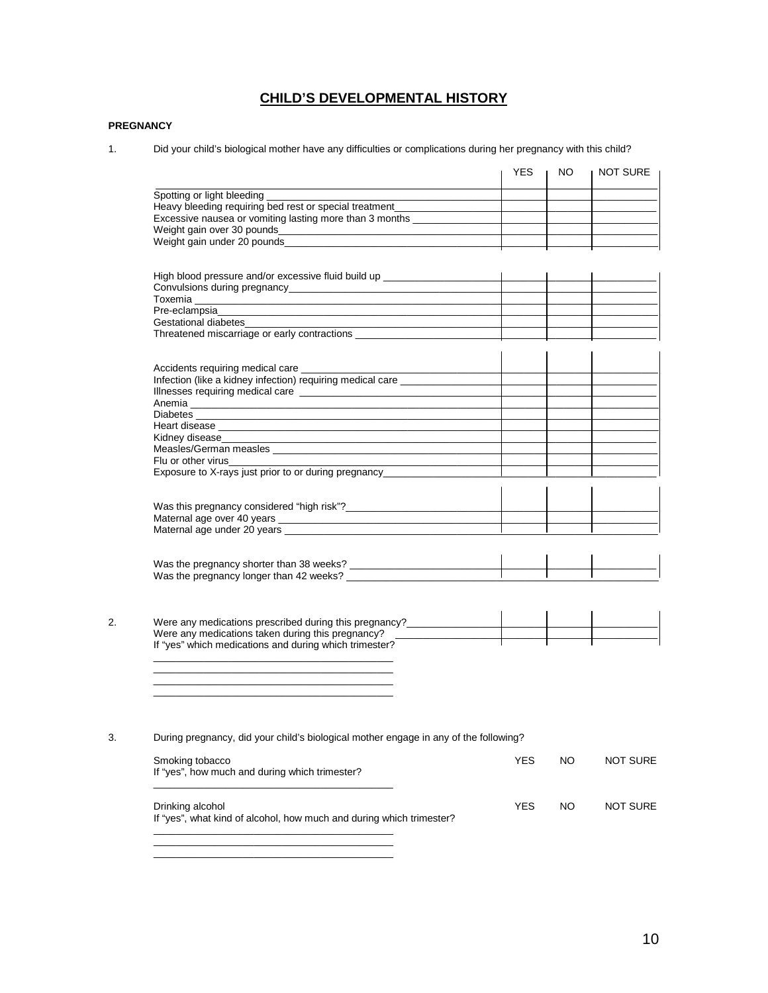## **CHILD'S DEVELOPMENTAL HISTORY**

#### **PREGNANCY**

1. Did your child's biological mother have any difficulties or complications during her pregnancy with this child?

|                                                                                                                        | <b>YES</b> | NO. | NOT SURE        |
|------------------------------------------------------------------------------------------------------------------------|------------|-----|-----------------|
| Spotting or light bleeding ________                                                                                    |            |     |                 |
| Heavy bleeding requiring bed rest or special treatment_______                                                          |            |     |                 |
| Excessive nausea or vomiting lasting more than 3 months ________________________                                       |            |     |                 |
|                                                                                                                        |            |     |                 |
|                                                                                                                        |            |     |                 |
|                                                                                                                        |            |     |                 |
|                                                                                                                        |            |     |                 |
|                                                                                                                        |            |     |                 |
|                                                                                                                        |            |     |                 |
|                                                                                                                        |            |     |                 |
| Gestational diabetes                                                                                                   |            |     |                 |
| Threatened miscarriage or early contractions ___________________________________                                       |            |     |                 |
|                                                                                                                        |            |     |                 |
|                                                                                                                        |            |     |                 |
| Infection (like a kidney infection) requiring medical care ______________                                              |            |     |                 |
| Illnesses requiring medical care                                                                                       |            |     |                 |
|                                                                                                                        |            |     |                 |
|                                                                                                                        |            |     |                 |
|                                                                                                                        |            |     |                 |
| Kidney disease <b>Example 2018</b> New York 1997 New York 1997 New York 1997 New York 1997 New York 1997 New York 1997 |            |     |                 |
|                                                                                                                        |            |     |                 |
| Flu or other virus <b>Example 20</b>                                                                                   |            |     |                 |
| Exposure to X-rays just prior to or during pregnancy____________________                                               |            |     |                 |
|                                                                                                                        |            |     |                 |
|                                                                                                                        |            |     |                 |
|                                                                                                                        |            |     |                 |
|                                                                                                                        |            |     |                 |
| Were any medications prescribed during this pregnancy?__________________________                                       |            |     |                 |
| Were any medications taken during this pregnancy?                                                                      |            |     |                 |
| If "yes" which medications and during which trimester?                                                                 |            |     |                 |
|                                                                                                                        |            |     |                 |
|                                                                                                                        |            |     |                 |
| During pregnancy, did your child's biological mother engage in any of the following?                                   |            |     |                 |
| Smoking tobacco<br>If "yes", how much and during which trimester?                                                      | <b>YES</b> | NO  | <b>NOT SURE</b> |
|                                                                                                                        |            |     |                 |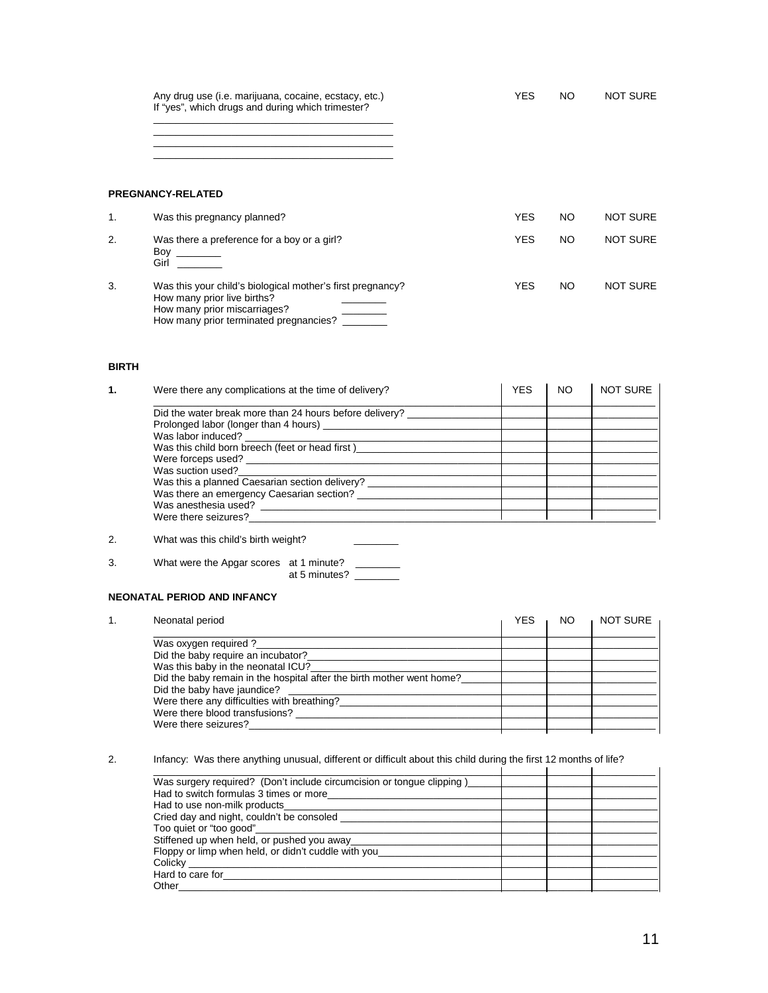Any drug use (i.e. marijuana, cocaine, ecstacy, etc.) New YES NO NOT SURE If "yes", which drugs and during which trimester?

\_\_\_\_\_\_\_\_\_\_\_\_\_\_\_\_\_\_\_\_\_\_\_\_\_\_\_\_\_\_\_\_\_\_\_\_\_\_\_\_\_\_\_ \_\_\_\_\_\_\_\_\_\_\_\_\_\_\_\_\_\_\_\_\_\_\_\_\_\_\_\_\_\_\_\_\_\_\_\_\_\_\_\_\_\_\_ \_\_\_\_\_\_\_\_\_\_\_\_\_\_\_\_\_\_\_\_\_\_\_\_\_\_\_\_\_\_\_\_\_\_\_\_\_\_\_\_\_\_\_

\_\_\_\_\_\_\_\_\_\_\_\_\_\_\_\_\_\_\_\_\_\_\_\_\_\_\_\_\_\_\_\_\_\_\_\_\_\_\_\_\_\_\_

#### **PREGNANCY-RELATED**

| $\mathbf{1}$ . | Was this pregnancy planned?                                                                                                                                         | YES | NO | <b>NOT SURE</b> |
|----------------|---------------------------------------------------------------------------------------------------------------------------------------------------------------------|-----|----|-----------------|
| 2.             | Was there a preference for a boy or a girl?<br>Boy<br>Girl                                                                                                          | YES | NO | <b>NOT SURE</b> |
| 3.             | Was this your child's biological mother's first pregnancy?<br>How many prior live births?<br>How many prior miscarriages?<br>How many prior terminated pregnancies? | YES | NO | <b>NOT SURE</b> |

#### **BIRTH**

| Were there any complications at the time of delivery?          | <b>YES</b> | NO. | <b>NOT SURE</b> |
|----------------------------------------------------------------|------------|-----|-----------------|
| Did the water break more than 24 hours before delivery? ______ |            |     |                 |
|                                                                |            |     |                 |
|                                                                |            |     |                 |
| Was this child born breech (feet or head first)                |            |     |                 |
| Were forceps used?                                             |            |     |                 |
| Was suction used?                                              |            |     |                 |
| Was this a planned Caesarian section delivery?                 |            |     |                 |
| Was there an emergency Caesarian section?                      |            |     |                 |
| Was anesthesia used?                                           |            |     |                 |
| Were there seizures?                                           |            |     |                 |

2. What was this child's birth weight?

| 3. | What were the Apgar scores at 1 minute? |  |
|----|-----------------------------------------|--|
|    |                                         |  |

at 5 minutes? \_\_\_\_\_\_\_\_

#### **NEONATAL PERIOD AND INFANCY**

| Neonatal period                                                       | YES | NO. | <b>NOT SURE</b> |
|-----------------------------------------------------------------------|-----|-----|-----------------|
| Was oxygen required?                                                  |     |     |                 |
| Did the baby require an incubator?                                    |     |     |                 |
| Was this baby in the neonatal ICU?                                    |     |     |                 |
| Did the baby remain in the hospital after the birth mother went home? |     |     |                 |
| Did the baby have jaundice?                                           |     |     |                 |
| Were there any difficulties with breathing?                           |     |     |                 |
| Were there blood transfusions?                                        |     |     |                 |
| Were there seizures?                                                  |     |     |                 |
|                                                                       |     |     |                 |

2. Infancy: Was there anything unusual, different or difficult about this child during the first 12 months of life?

| $m$ and $n$ , we around the problem in the contract of the control and complete the model $\epsilon$ model of model |  |  |
|---------------------------------------------------------------------------------------------------------------------|--|--|
| Was surgery required? (Don't include circumcision or tongue clipping)                                               |  |  |
| Had to switch formulas 3 times or more                                                                              |  |  |
| Had to use non-milk products                                                                                        |  |  |
| Cried day and night, couldn't be consoled                                                                           |  |  |
| Too quiet or "too good"                                                                                             |  |  |
| Stiffened up when held, or pushed you away                                                                          |  |  |
| Floppy or limp when held, or didn't cuddle with you                                                                 |  |  |
| Colicky                                                                                                             |  |  |
| Hard to care for                                                                                                    |  |  |
| Other                                                                                                               |  |  |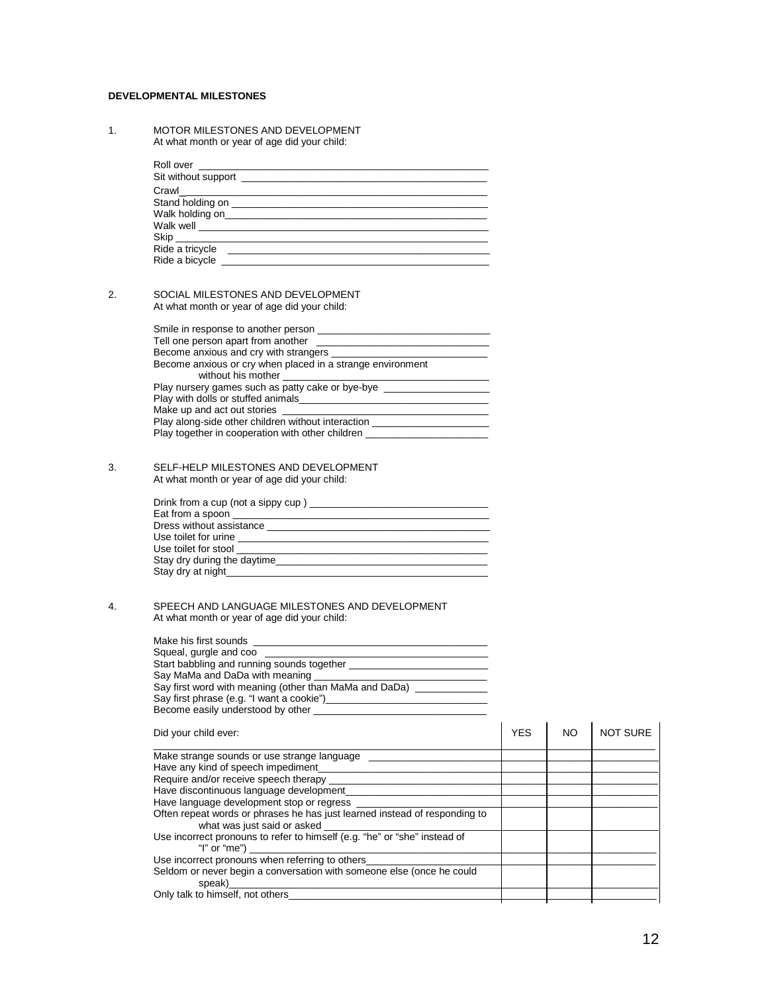#### **DEVELOPMENTAL MILESTONES**

1. MOTOR MILESTONES AND DEVELOPMENT At what month or year of age did your child:

| Ride a tricycle |  |
|-----------------|--|
| Ride a bicycle  |  |

#### 2. SOCIAL MILESTONES AND DEVELOPMENT At what month or year of age did your child:

| Smile in response to another person                        |
|------------------------------------------------------------|
| Tell one person apart from another <b>Fig.</b> 2008.       |
| Become anxious and cry with strangers _____                |
| Become anxious or cry when placed in a strange environment |
| without his mother without                                 |
| Play nursery games such as patty cake or bye-bye           |
| Play with dolls or stuffed animals                         |
| Make up and act out stories                                |
| Play along-side other children without interaction         |
| Play together in cooperation with other children           |

#### 3. SELF-HELP MILESTONES AND DEVELOPMENT At what month or year of age did your child:

| Drink from a cup (not a sippy cup)                                                                                                                                                                                                   |
|--------------------------------------------------------------------------------------------------------------------------------------------------------------------------------------------------------------------------------------|
| Eat from a spoon                                                                                                                                                                                                                     |
| Dress without assistance <b>contract the contract of the contract of the contract of the contract of the contract of the contract of the contract of the contract of the contract of the contract of the contract of the contrac</b> |
| Use toilet for urine                                                                                                                                                                                                                 |
| Use toilet for stool<br>the contract of the contract of the contract of the contract of the contract of                                                                                                                              |
|                                                                                                                                                                                                                                      |
| Stay dry at night                                                                                                                                                                                                                    |

#### 4. SPEECH AND LANGUAGE MILESTONES AND DEVELOPMENT At what month or year of age did your child:

| Make his first sounds                                           |
|-----------------------------------------------------------------|
| Squeal, gurgle and coo                                          |
| Start babbling and running sounds together                      |
| Say MaMa and DaDa with meaning                                  |
| Say first word with meaning (other than MaMa and DaDa) ________ |
| Say first phrase (e.g. "I want a cookie")                       |
| Become easily understood by other                               |

| Did your child ever:                                                                                                          | <b>YES</b> | NO | NOT SURE |
|-------------------------------------------------------------------------------------------------------------------------------|------------|----|----------|
| Make strange sounds or use strange language<br>Have any kind of speech impediment_                                            |            |    |          |
| Require and/or receive speech therapy<br>Have discontinuous language development<br>Have language development stop or regress |            |    |          |
| Often repeat words or phrases he has just learned instead of responding to<br>what was just said or asked                     |            |    |          |
| Use incorrect pronouns to refer to himself (e.g. "he" or "she" instead of<br>"I" or "me")                                     |            |    |          |
| Use incorrect pronouns when referring to others_                                                                              |            |    |          |
| Seldom or never begin a conversation with someone else (once he could<br>speak)                                               |            |    |          |
| Only talk to himself, not others                                                                                              |            |    |          |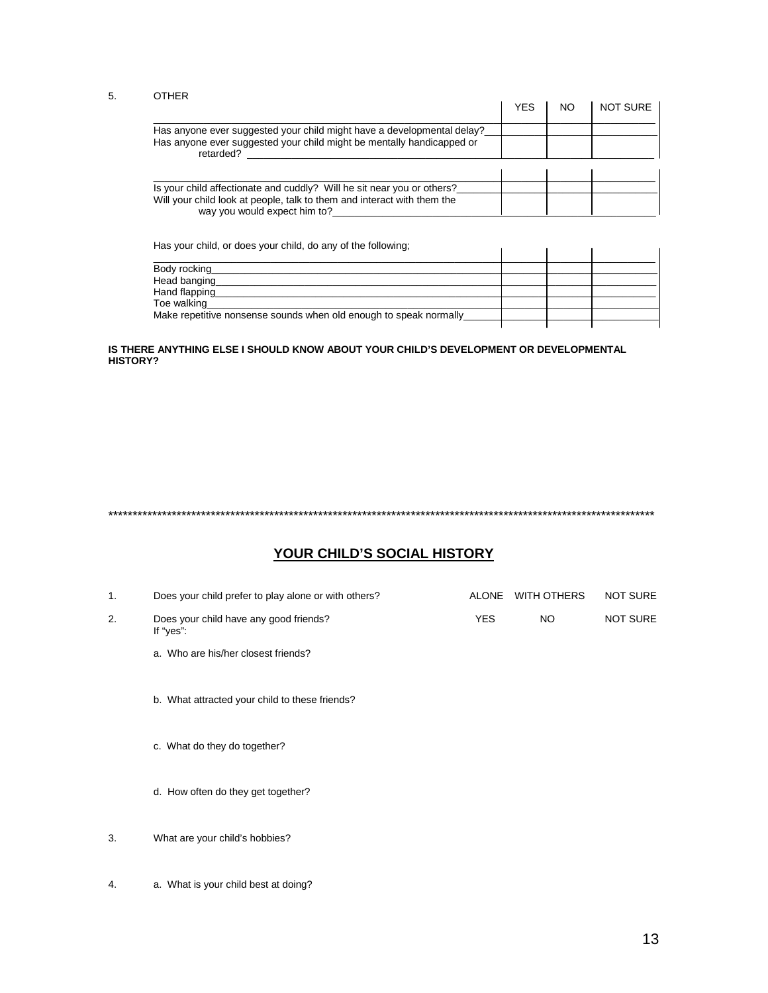#### 5. OTHER

|                                                                                                                                                                                   | YES | NO | <b>NOT SURE</b> |
|-----------------------------------------------------------------------------------------------------------------------------------------------------------------------------------|-----|----|-----------------|
| Has anyone ever suggested your child might have a developmental delay?<br>Has anyone ever suggested your child might be mentally handicapped or<br>retarded?                      |     |    |                 |
| Is your child affectionate and cuddly? Will he sit near you or others?<br>Will your child look at people, talk to them and interact with them the<br>way you would expect him to? |     |    |                 |

Has your child, or does your child, do any of the following;

| Body rocking                                                      |  |  |
|-------------------------------------------------------------------|--|--|
| Head banging                                                      |  |  |
| Hand flapping                                                     |  |  |
| Toe walking                                                       |  |  |
| Make repetitive nonsense sounds when old enough to speak normally |  |  |
|                                                                   |  |  |

#### **IS THERE ANYTHING ELSE I SHOULD KNOW ABOUT YOUR CHILD'S DEVELOPMENT OR DEVELOPMENTAL HISTORY?**

## \*\*\*\*\*\*\*\*\*\*\*\*\*\*\*\*\*\*\*\*\*\*\*\*\*\*\*\*\*\*\*\*\*\*\*\*\*\*\*\*\*\*\*\*\*\*\*\*\*\*\*\*\*\*\*\*\*\*\*\*\*\*\*\*\*\*\*\*\*\*\*\*\*\*\*\*\*\*\*\*\*\*\*\*\*\*\*\*\*\*\*\*\*\*\*\*\*\*\*\*\*\*\*\*\*\*\*\*\*\*\*\*

## **YOUR CHILD'S SOCIAL HISTORY**

| 1. | Does your child prefer to play alone or with others? | <b>ALONE</b> | WITH OTHERS | <b>NOT SURE</b> |
|----|------------------------------------------------------|--------------|-------------|-----------------|
| 2. | Does your child have any good friends?<br>If "yes":  | <b>YES</b>   | NO.         | <b>NOT SURE</b> |
|    | a. Who are his/her closest friends?                  |              |             |                 |
|    | b. What attracted your child to these friends?       |              |             |                 |
|    | c. What do they do together?                         |              |             |                 |
|    | d. How often do they get together?                   |              |             |                 |
| 3. | What are your child's hobbies?                       |              |             |                 |
|    |                                                      |              |             |                 |

4. a. What is your child best at doing?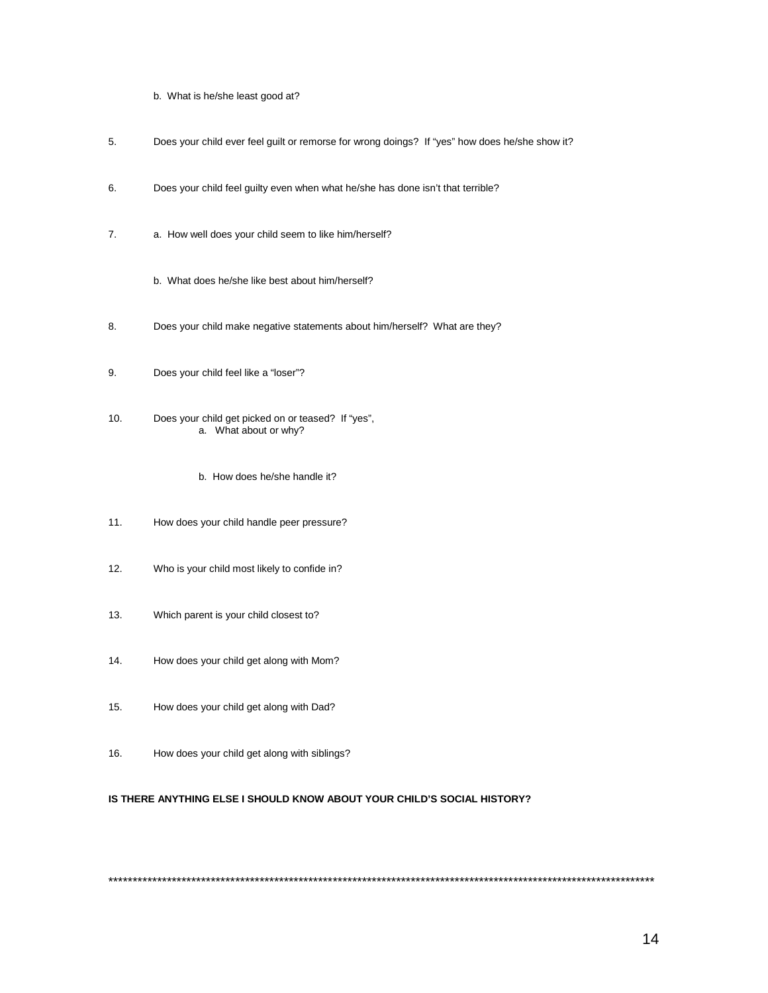- b. What is he/she least good at?
- 5. Does your child ever feel guilt or remorse for wrong doings? If "yes" how does he/she show it?
- 6. Does your child feel guilty even when what he/she has done isn't that terrible?
- 7. a. How well does your child seem to like him/herself?
	- b. What does he/she like best about him/herself?
- 8. Does your child make negative statements about him/herself? What are they?
- 9. Does your child feel like a "loser"?
- 10. Does your child get picked on or teased? If "yes", a. What about or why?
	- b. How does he/she handle it?
- 11. How does your child handle peer pressure?
- 12. Who is your child most likely to confide in?
- 13. Which parent is your child closest to?
- 14. How does your child get along with Mom?
- 15. How does your child get along with Dad?
- 16. How does your child get along with siblings?

#### **IS THERE ANYTHING ELSE I SHOULD KNOW ABOUT YOUR CHILD'S SOCIAL HISTORY?**

\*\*\*\*\*\*\*\*\*\*\*\*\*\*\*\*\*\*\*\*\*\*\*\*\*\*\*\*\*\*\*\*\*\*\*\*\*\*\*\*\*\*\*\*\*\*\*\*\*\*\*\*\*\*\*\*\*\*\*\*\*\*\*\*\*\*\*\*\*\*\*\*\*\*\*\*\*\*\*\*\*\*\*\*\*\*\*\*\*\*\*\*\*\*\*\*\*\*\*\*\*\*\*\*\*\*\*\*\*\*\*\*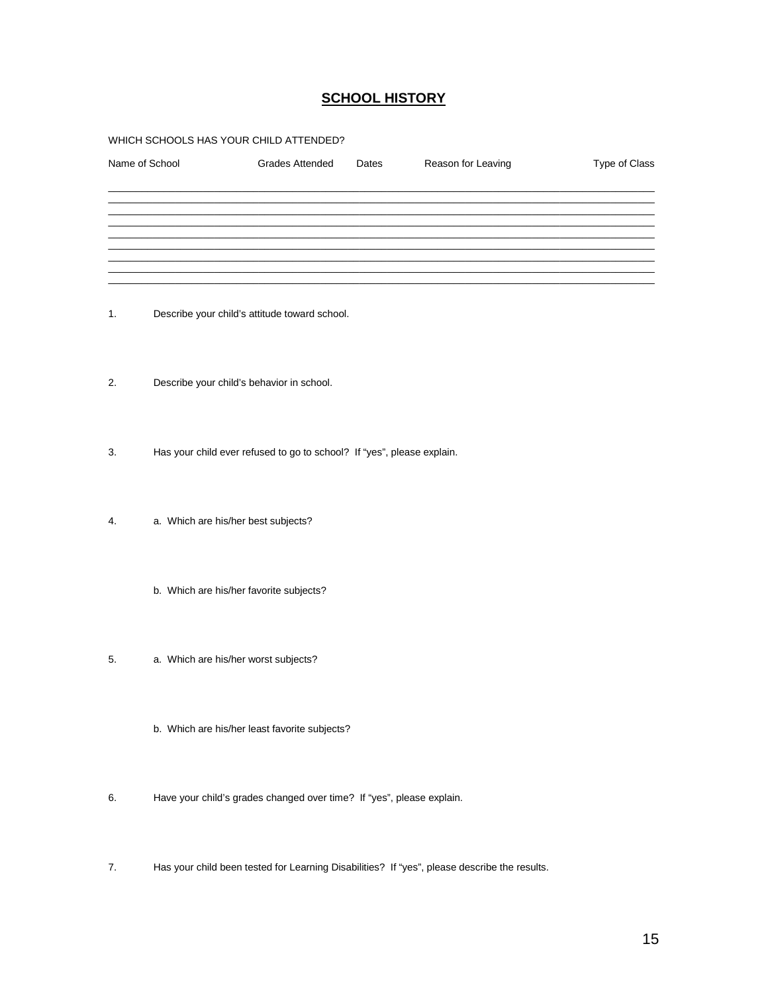## **SCHOOL HISTORY**

#### WHICH SCHOOLS HAS YOUR CHILD ATTENDED?

| Name of School | <b>Grades Attended</b>                                                 | Dates | Reason for Leaving | Type of Class |  |
|----------------|------------------------------------------------------------------------|-------|--------------------|---------------|--|
|                |                                                                        |       |                    |               |  |
|                |                                                                        |       |                    |               |  |
| 1.             | Describe your child's attitude toward school.                          |       |                    |               |  |
| 2.             | Describe your child's behavior in school.                              |       |                    |               |  |
| 3.             | Has your child ever refused to go to school? If "yes", please explain. |       |                    |               |  |
| 4.             | a. Which are his/her best subjects?                                    |       |                    |               |  |
|                | b. Which are his/her favorite subjects?                                |       |                    |               |  |
| 5.             | a. Which are his/her worst subjects?                                   |       |                    |               |  |
|                | b. Which are his/her least favorite subjects?                          |       |                    |               |  |

- 6. Have your child's grades changed over time? If "yes", please explain.
- 7. Has your child been tested for Learning Disabilities? If "yes", please describe the results.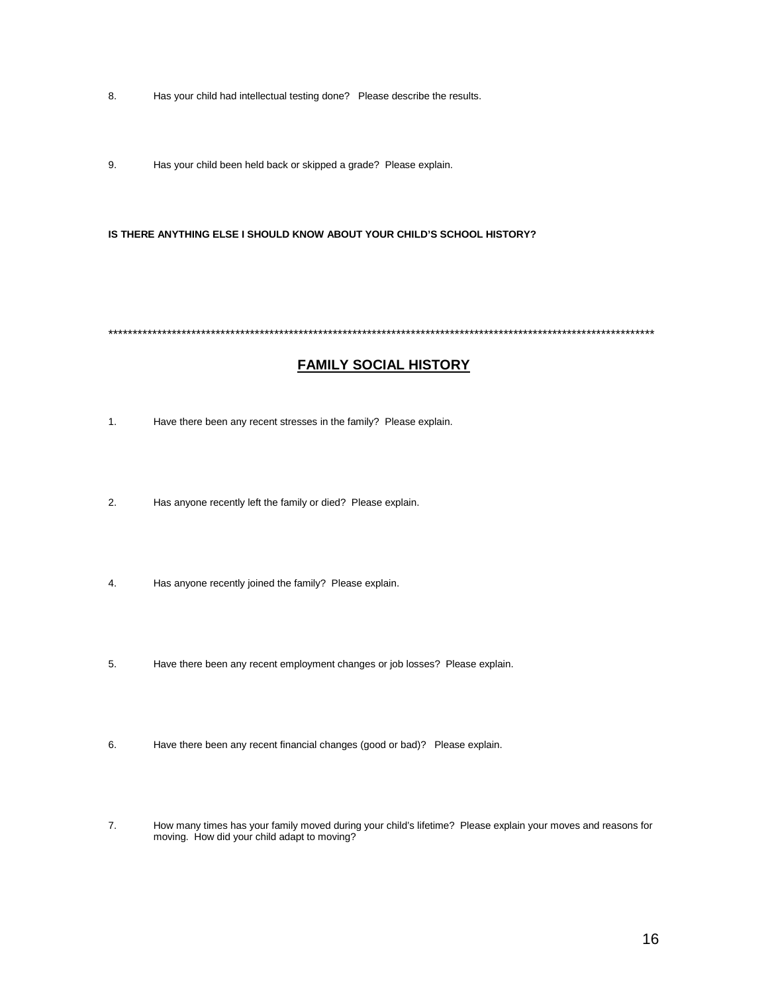- 8. Has your child had intellectual testing done? Please describe the results.
- 9. Has your child been held back or skipped a grade? Please explain.

IS THERE ANYTHING ELSE I SHOULD KNOW ABOUT YOUR CHILD'S SCHOOL HISTORY?

## **FAMILY SOCIAL HISTORY**

- $\mathbf{1}$ . Have there been any recent stresses in the family? Please explain.
- $2.$ Has anyone recently left the family or died? Please explain.
- $\overline{4}$ . Has anyone recently joined the family? Please explain.
- 5. Have there been any recent employment changes or job losses? Please explain.
- 6. Have there been any recent financial changes (good or bad)? Please explain.
- $\overline{7}$ . How many times has your family moved during your child's lifetime? Please explain your moves and reasons for moving. How did your child adapt to moving?